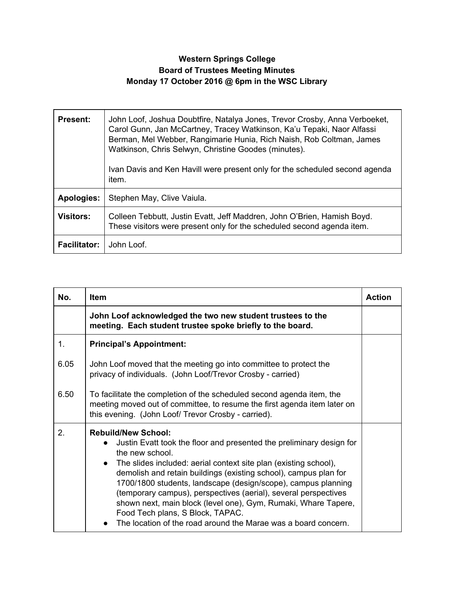## **Western Springs College Board of Trustees Meeting Minutes Monday 17 October 2016 @ 6pm in the WSC Library**

| <b>Present:</b>     | John Loof, Joshua Doubtfire, Natalya Jones, Trevor Crosby, Anna Verboeket,<br>Carol Gunn, Jan McCartney, Tracey Watkinson, Ka'u Tepaki, Naor Alfassi<br>Berman, Mel Webber, Rangimarie Hunia, Rich Naish, Rob Coltman, James<br>Watkinson, Chris Selwyn, Christine Goodes (minutes).<br>Ivan Davis and Ken Havill were present only for the scheduled second agenda<br>item. |
|---------------------|------------------------------------------------------------------------------------------------------------------------------------------------------------------------------------------------------------------------------------------------------------------------------------------------------------------------------------------------------------------------------|
| <b>Apologies:</b>   | Stephen May, Clive Vaiula.                                                                                                                                                                                                                                                                                                                                                   |
| <b>Visitors:</b>    | Colleen Tebbutt, Justin Evatt, Jeff Maddren, John O'Brien, Hamish Boyd.<br>These visitors were present only for the scheduled second agenda item.                                                                                                                                                                                                                            |
| <b>Facilitator:</b> | John Loof.                                                                                                                                                                                                                                                                                                                                                                   |

| No.  | Item                                                                                                                                                                                                                                                                                                                                                                                                                                                                                                                                                                                     | <b>Action</b> |
|------|------------------------------------------------------------------------------------------------------------------------------------------------------------------------------------------------------------------------------------------------------------------------------------------------------------------------------------------------------------------------------------------------------------------------------------------------------------------------------------------------------------------------------------------------------------------------------------------|---------------|
|      | John Loof acknowledged the two new student trustees to the<br>meeting. Each student trustee spoke briefly to the board.                                                                                                                                                                                                                                                                                                                                                                                                                                                                  |               |
| 1.   | <b>Principal's Appointment:</b>                                                                                                                                                                                                                                                                                                                                                                                                                                                                                                                                                          |               |
| 6.05 | John Loof moved that the meeting go into committee to protect the<br>privacy of individuals. (John Loof/Trevor Crosby - carried)                                                                                                                                                                                                                                                                                                                                                                                                                                                         |               |
| 6.50 | To facilitate the completion of the scheduled second agenda item, the<br>meeting moved out of committee, to resume the first agenda item later on<br>this evening. (John Loof/ Trevor Crosby - carried).                                                                                                                                                                                                                                                                                                                                                                                 |               |
| 2.   | <b>Rebuild/New School:</b><br>Justin Evatt took the floor and presented the preliminary design for<br>$\bullet$<br>the new school.<br>• The slides included: aerial context site plan (existing school),<br>demolish and retain buildings (existing school), campus plan for<br>1700/1800 students, landscape (design/scope), campus planning<br>(temporary campus), perspectives (aerial), several perspectives<br>shown next, main block (level one), Gym, Rumaki, Whare Tapere,<br>Food Tech plans, S Block, TAPAC.<br>The location of the road around the Marae was a board concern. |               |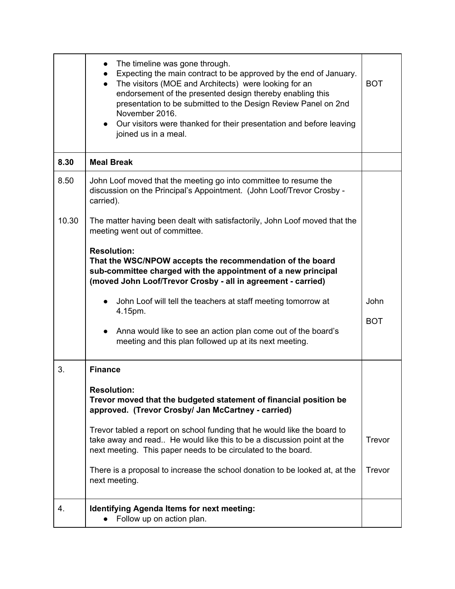|       | The timeline was gone through.<br>$\bullet$<br>Expecting the main contract to be approved by the end of January.<br>$\bullet$<br>The visitors (MOE and Architects) were looking for an<br>$\bullet$<br>endorsement of the presented design thereby enabling this<br>presentation to be submitted to the Design Review Panel on 2nd<br>November 2016.<br>Our visitors were thanked for their presentation and before leaving<br>joined us in a meal. | <b>BOT</b> |
|-------|-----------------------------------------------------------------------------------------------------------------------------------------------------------------------------------------------------------------------------------------------------------------------------------------------------------------------------------------------------------------------------------------------------------------------------------------------------|------------|
| 8.30  | <b>Meal Break</b>                                                                                                                                                                                                                                                                                                                                                                                                                                   |            |
| 8.50  | John Loof moved that the meeting go into committee to resume the<br>discussion on the Principal's Appointment. (John Loof/Trevor Crosby -<br>carried).                                                                                                                                                                                                                                                                                              |            |
| 10.30 | The matter having been dealt with satisfactorily, John Loof moved that the<br>meeting went out of committee.                                                                                                                                                                                                                                                                                                                                        |            |
|       | <b>Resolution:</b><br>That the WSC/NPOW accepts the recommendation of the board<br>sub-committee charged with the appointment of a new principal<br>(moved John Loof/Trevor Crosby - all in agreement - carried)                                                                                                                                                                                                                                    |            |
|       | John Loof will tell the teachers at staff meeting tomorrow at<br>4.15pm.                                                                                                                                                                                                                                                                                                                                                                            | John       |
|       | Anna would like to see an action plan come out of the board's<br>$\bullet$<br>meeting and this plan followed up at its next meeting.                                                                                                                                                                                                                                                                                                                | <b>BOT</b> |
| 3.    | <b>Finance</b>                                                                                                                                                                                                                                                                                                                                                                                                                                      |            |
|       | <b>Resolution:</b><br>Trevor moved that the budgeted statement of financial position be<br>approved. (Trevor Crosby/ Jan McCartney - carried)                                                                                                                                                                                                                                                                                                       |            |
|       | Trevor tabled a report on school funding that he would like the board to<br>take away and read He would like this to be a discussion point at the<br>next meeting. This paper needs to be circulated to the board.                                                                                                                                                                                                                                  | Trevor     |
|       | There is a proposal to increase the school donation to be looked at, at the<br>next meeting.                                                                                                                                                                                                                                                                                                                                                        | Trevor     |
| 4.    | <b>Identifying Agenda Items for next meeting:</b><br>Follow up on action plan.                                                                                                                                                                                                                                                                                                                                                                      |            |